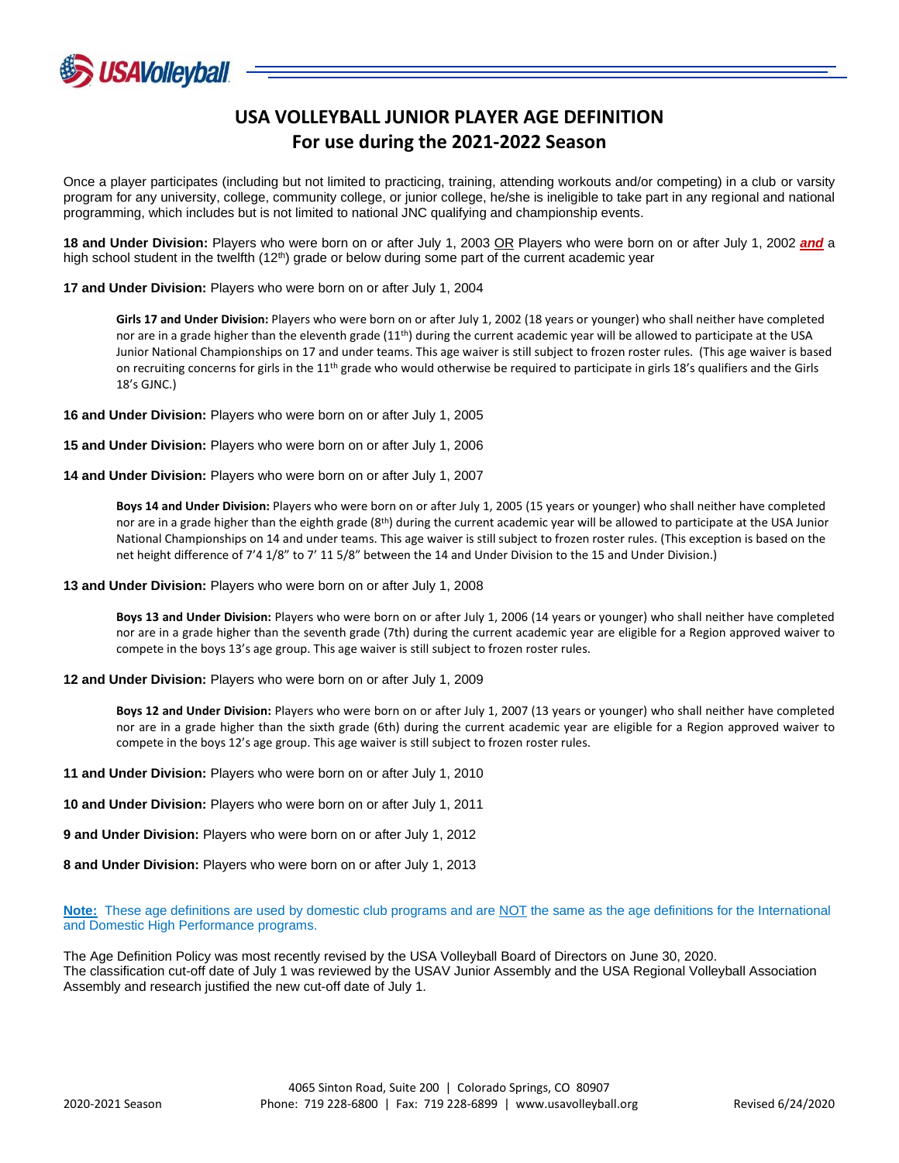

## **USA VOLLEYBALL JUNIOR PLAYER AGE DEFINITION For use during the 2021-2022 Season**

Once a player participates (including but not limited to practicing, training, attending workouts and/or competing) in a club or varsity program for any university, college, community college, or junior college, he/she is ineligible to take part in any regional and national programming, which includes but is not limited to national JNC qualifying and championship events.

**18 and Under Division:** Players who were born on or after July 1, 2003 OR Players who were born on or after July 1, 2002 *and* a high school student in the twelfth (12<sup>th</sup>) grade or below during some part of the current academic year

**17 and Under Division:** Players who were born on or after July 1, 2004

**Girls 17 and Under Division:** Players who were born on or after July 1, 2002 (18 years or younger) who shall neither have completed nor are in a grade higher than the eleventh grade  $(11<sup>th</sup>)$  during the current academic year will be allowed to participate at the USA Junior National Championships on 17 and under teams. This age waiver is still subject to frozen roster rules. (This age waiver is based on recruiting concerns for girls in the 11<sup>th</sup> grade who would otherwise be required to participate in girls 18's qualifiers and the Girls 18's GJNC.)

**16 and Under Division:** Players who were born on or after July 1, 2005

**15 and Under Division:** Players who were born on or after July 1, 2006

**14 and Under Division:** Players who were born on or after July 1, 2007

**Boys 14 and Under Division:** Players who were born on or after July 1, 2005 (15 years or younger) who shall neither have completed nor are in a grade higher than the eighth grade (8<sup>th</sup>) during the current academic year will be allowed to participate at the USA Junior National Championships on 14 and under teams. This age waiver is still subject to frozen roster rules. (This exception is based on the net height difference of 7'4 1/8" to 7' 11 5/8" between the 14 and Under Division to the 15 and Under Division.)

**13 and Under Division:** Players who were born on or after July 1, 2008

**Boys 13 and Under Division:** Players who were born on or after July 1, 2006 (14 years or younger) who shall neither have completed nor are in a grade higher than the seventh grade (7th) during the current academic year are eligible for a Region approved waiver to compete in the boys 13's age group. This age waiver is still subject to frozen roster rules.

**12 and Under Division:** Players who were born on or after July 1, 2009

**Boys 12 and Under Division:** Players who were born on or after July 1, 2007 (13 years or younger) who shall neither have completed nor are in a grade higher than the sixth grade (6th) during the current academic year are eligible for a Region approved waiver to compete in the boys 12's age group. This age waiver is still subject to frozen roster rules.

**11 and Under Division:** Players who were born on or after July 1, 2010

**10 and Under Division:** Players who were born on or after July 1, 2011

**9 and Under Division:** Players who were born on or after July 1, 2012

**8 and Under Division:** Players who were born on or after July 1, 2013

**Note:** These age definitions are used by domestic club programs and are NOT the same as the age definitions for the International and Domestic High Performance programs.

The Age Definition Policy was most recently revised by the USA Volleyball Board of Directors on June 30, 2020. The classification cut-off date of July 1 was reviewed by the USAV Junior Assembly and the USA Regional Volleyball Association Assembly and research justified the new cut-off date of July 1.